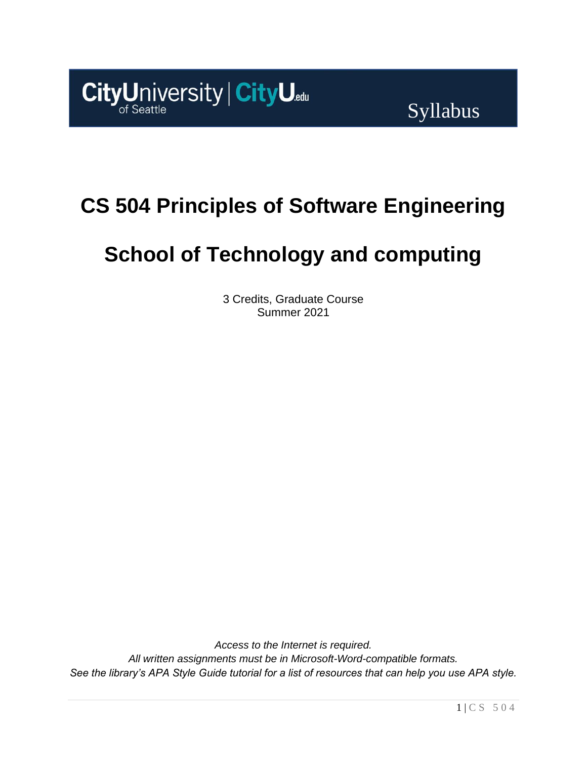

# **CS 504 Principles of Software Engineering**

# **School of Technology and computing**

3 Credits, Graduate Course Summer 2021

*Access to the Internet is required. All written assignments must be in Microsoft-Word-compatible formats. See the library's APA Style Guide tutorial for a list of resources that can help you use APA style.*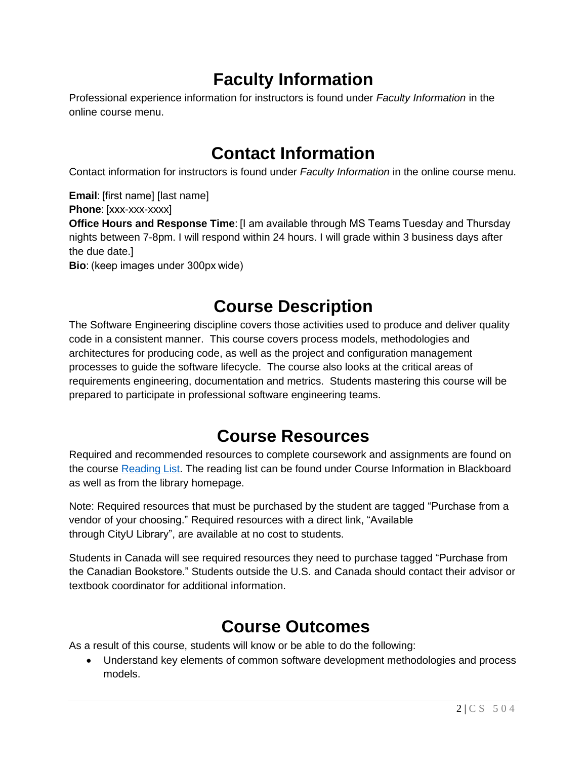# **Faculty Information**

Professional experience information for instructors is found under *Faculty Information* in the online course menu.

# **Contact Information**

Contact information for instructors is found under *Faculty Information* in the online course menu.

**Email**: [first name] [last name] **Phone**: [xxx-xxx-xxxx] **Office Hours and Response Time**: [I am available through MS Teams Tuesday and Thursday nights between 7-8pm. I will respond within 24 hours. I will grade within 3 business days after the due date.] **Bio**: (keep images under 300px wide)

# **Course Description**

The Software Engineering discipline covers those activities used to produce and deliver quality code in a consistent manner. This course covers process models, methodologies and architectures for producing code, as well as the project and configuration management processes to guide the software lifecycle. The course also looks at the critical areas of requirements engineering, documentation and metrics. Students mastering this course will be prepared to participate in professional software engineering teams.

# **Course Resources**

Required and recommended resources to complete coursework and assignments are found on the course [Reading](https://nam11.safelinks.protection.outlook.com/?url=https%3A%2F%2Fcityu.alma.exlibrisgroup.com%2Fleganto%2Flogin%3Fauth%3DSAML&data=04%7C01%7Cchungsam%40cityu.edu%7Ce83102e3b3cd44013e6f08d90c4e2657%7Cb3fa96d9f5154662add763d854e39e63%7C1%7C0%7C637554352062955203%7CUnknown%7CTWFpbGZsb3d8eyJWIjoiMC4wLjAwMDAiLCJQIjoiV2luMzIiLCJBTiI6Ik1haWwiLCJXVCI6Mn0%3D%7C1000&sdata=bN35zwEbiFZuL%2BlFscxWGv%2BPQ1%2FipHBfzM3qTbqOHdo%3D&reserved=0) List. The reading list can be found under Course Information in Blackboard as well as from the library homepage.

Note: Required resources that must be purchased by the student are tagged "Purchase from a vendor of your choosing." Required resources with a direct link, "Available through CityU Library", are available at no cost to students.

Students in Canada will see required resources they need to purchase tagged "Purchase from the Canadian Bookstore." Students outside the U.S. and Canada should contact their advisor or textbook coordinator for additional information.

# **Course Outcomes**

As a result of this course, students will know or be able to do the following:

• Understand key elements of common software development methodologies and process models.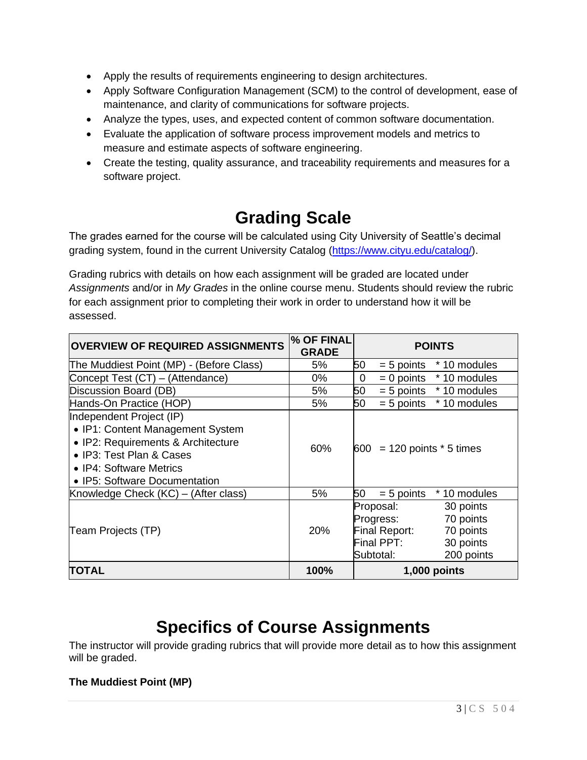- Apply the results of requirements engineering to design architectures.
- Apply Software Configuration Management (SCM) to the control of development, ease of maintenance, and clarity of communications for software projects.
- Analyze the types, uses, and expected content of common software documentation.
- Evaluate the application of software process improvement models and metrics to measure and estimate aspects of software engineering.
- Create the testing, quality assurance, and traceability requirements and measures for a software project.

# **Grading Scale**

The grades earned for the course will be calculated using City University of Seattle's decimal grading system, found in the current University Catalog [\(https://www.cityu.edu/catalog/\)](https://www.cityu.edu/catalog/).

Grading rubrics with details on how each assignment will be graded are located under *Assignments* and/or in *My Grades* in the online course menu. Students should review the rubric for each assignment prior to completing their work in order to understand how it will be assessed.

| <b>OVERVIEW OF REQUIRED ASSIGNMENTS</b>                                                                                                                                                    | % OF FINAL<br><b>GRADE</b> | <b>POINTS</b>                                                                                                                        |
|--------------------------------------------------------------------------------------------------------------------------------------------------------------------------------------------|----------------------------|--------------------------------------------------------------------------------------------------------------------------------------|
| The Muddiest Point (MP) - (Before Class)                                                                                                                                                   | 5%                         | 50<br>* 10 modules<br>$= 5$ points                                                                                                   |
| Concept Test (CT) – (Attendance)                                                                                                                                                           | 0%                         | $= 0$ points<br>* 10 modules<br>0                                                                                                    |
| Discussion Board (DB)                                                                                                                                                                      | 5%                         | 50<br>$= 5$ points $*10$ modules                                                                                                     |
| Hands-On Practice (HOP)                                                                                                                                                                    | 5%                         | 50<br>* 10 modules<br>$= 5$ points                                                                                                   |
| Independent Project (IP)<br>• IP1: Content Management System<br>• IP2: Requirements & Architecture<br>• IP3: Test Plan & Cases<br>• IP4: Software Metrics<br>• IP5: Software Documentation | 60%                        | $600 = 120$ points $*$ 5 times                                                                                                       |
| Knowledge Check (KC) – (After class)                                                                                                                                                       | 5%                         | 50<br>$= 5$ points<br>* 10 modules                                                                                                   |
| Team Projects (TP)                                                                                                                                                                         | <b>20%</b>                 | Proposal:<br>30 points<br>70 points<br>Progress:<br>Final Report:<br>70 points<br>Final PPT:<br>30 points<br>200 points<br>Subtotal: |
| TOTAL                                                                                                                                                                                      | 100%                       | 1,000 points                                                                                                                         |

# **Specifics of Course Assignments**

The instructor will provide grading rubrics that will provide more detail as to how this assignment will be graded.

## **The Muddiest Point (MP)**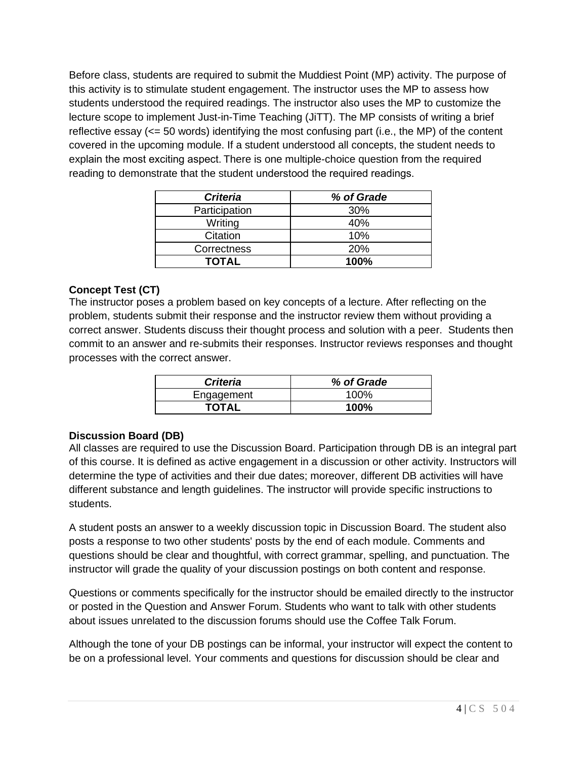Before class, students are required to submit the Muddiest Point (MP) activity. The purpose of this activity is to stimulate student engagement. The instructor uses the MP to assess how students understood the required readings. The instructor also uses the MP to customize the lecture scope to implement Just-in-Time Teaching (JiTT). The MP consists of writing a brief reflective essay (<= 50 words) identifying the most confusing part (i.e., the MP) of the content covered in the upcoming module. If a student understood all concepts, the student needs to explain the most exciting aspect. There is one multiple-choice question from the required reading to demonstrate that the student understood the required readings.  

| <b>Criteria</b> | % of Grade |
|-----------------|------------|
| Participation   | 30%        |
| Writing         | 40%        |
| Citation        | 10%        |
| Correctness     | 20%        |
| TOTAL           | 100%       |

# **Concept Test (CT)**

The instructor poses a problem based on key concepts of a lecture. After reflecting on the problem, students submit their response and the instructor review them without providing a correct answer. Students discuss their thought process and solution with a peer. Students then commit to an answer and re-submits their responses. Instructor reviews responses and thought processes with the correct answer.

| <b>Criteria</b> | % of Grade |
|-----------------|------------|
| Engagement      | 100%       |
| <b>TOTAL</b>    | 100%       |

## **Discussion Board (DB)**

All classes are required to use the Discussion Board. Participation through DB is an integral part of this course. It is defined as active engagement in a discussion or other activity. Instructors will determine the type of activities and their due dates; moreover, different DB activities will have different substance and length guidelines. The instructor will provide specific instructions to students.

A student posts an answer to a weekly discussion topic in Discussion Board. The student also posts a response to two other students' posts by the end of each module. Comments and questions should be clear and thoughtful, with correct grammar, spelling, and punctuation. The instructor will grade the quality of your discussion postings on both content and response.

Questions or comments specifically for the instructor should be emailed directly to the instructor or posted in the Question and Answer Forum. Students who want to talk with other students about issues unrelated to the discussion forums should use the Coffee Talk Forum.

Although the tone of your DB postings can be informal, your instructor will expect the content to be on a professional level. Your comments and questions for discussion should be clear and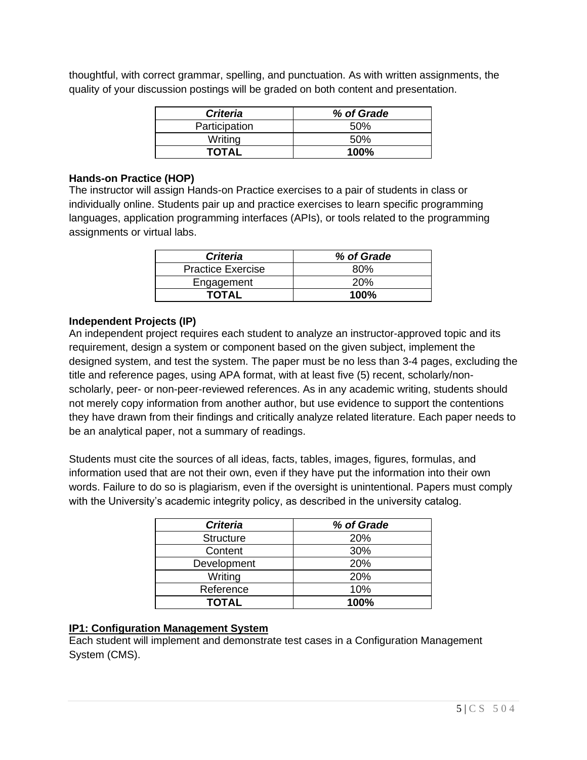thoughtful, with correct grammar, spelling, and punctuation. As with written assignments, the quality of your discussion postings will be graded on both content and presentation.

| <b>Criteria</b> | % of Grade  |
|-----------------|-------------|
| Participation   | .50%        |
| Writing         | 50%         |
| TOTAL           | <b>100%</b> |

### **Hands-on Practice (HOP)**

The instructor will assign Hands-on Practice exercises to a pair of students in class or individually online. Students pair up and practice exercises to learn specific programming languages, application programming interfaces (APIs), or tools related to the programming assignments or virtual labs.

| <b>Criteria</b>          | % of Grade |
|--------------------------|------------|
| <b>Practice Exercise</b> | 80%        |
| Engagement               | 20%        |
| TOTAL                    | $100\%$    |

## **Independent Projects (IP)**

An independent project requires each student to analyze an instructor-approved topic and its requirement, design a system or component based on the given subject, implement the designed system, and test the system. The paper must be no less than 3-4 pages, excluding the title and reference pages, using APA format, with at least five (5) recent, scholarly/nonscholarly, peer- or non-peer-reviewed references. As in any academic writing, students should not merely copy information from another author, but use evidence to support the contentions they have drawn from their findings and critically analyze related literature. Each paper needs to be an analytical paper, not a summary of readings.

Students must cite the sources of all ideas, facts, tables, images, figures, formulas, and information used that are not their own, even if they have put the information into their own words. Failure to do so is plagiarism, even if the oversight is unintentional. Papers must comply with the University's academic integrity policy, as described in the university catalog.

| <b>Criteria</b>  | % of Grade |
|------------------|------------|
| <b>Structure</b> | 20%        |
| Content          | 30%        |
| Development      | 20%        |
| Writing          | 20%        |
| Reference        | 10%        |
| <b>TOTAL</b>     | 100%       |

## **IP1: Configuration Management System**

Each student will implement and demonstrate test cases in a Configuration Management System (CMS).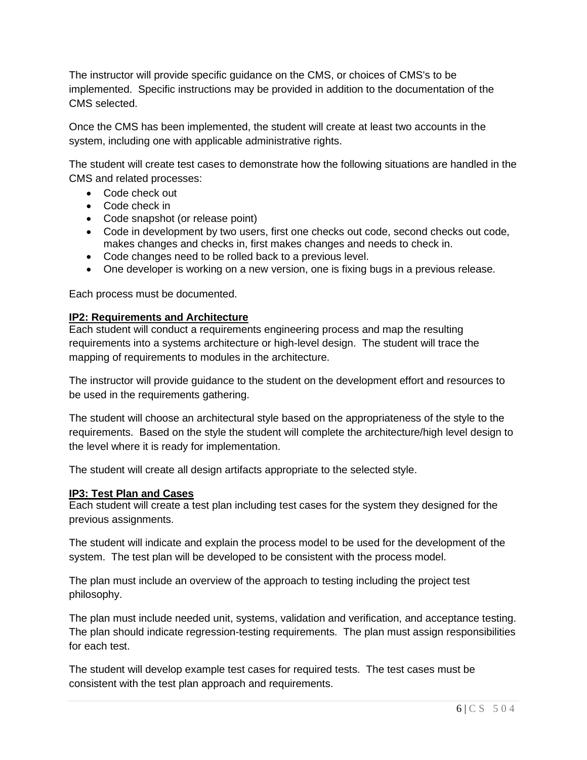The instructor will provide specific guidance on the CMS, or choices of CMS's to be implemented. Specific instructions may be provided in addition to the documentation of the CMS selected.

Once the CMS has been implemented, the student will create at least two accounts in the system, including one with applicable administrative rights.

The student will create test cases to demonstrate how the following situations are handled in the CMS and related processes:

- Code check out
- Code check in
- Code snapshot (or release point)
- Code in development by two users, first one checks out code, second checks out code, makes changes and checks in, first makes changes and needs to check in.
- Code changes need to be rolled back to a previous level.
- One developer is working on a new version, one is fixing bugs in a previous release.

Each process must be documented.

#### **IP2: Requirements and Architecture**

Each student will conduct a requirements engineering process and map the resulting requirements into a systems architecture or high-level design. The student will trace the mapping of requirements to modules in the architecture.

The instructor will provide guidance to the student on the development effort and resources to be used in the requirements gathering.

The student will choose an architectural style based on the appropriateness of the style to the requirements. Based on the style the student will complete the architecture/high level design to the level where it is ready for implementation.

The student will create all design artifacts appropriate to the selected style.

#### **IP3: Test Plan and Cases**

Each student will create a test plan including test cases for the system they designed for the previous assignments.

The student will indicate and explain the process model to be used for the development of the system. The test plan will be developed to be consistent with the process model.

The plan must include an overview of the approach to testing including the project test philosophy.

The plan must include needed unit, systems, validation and verification, and acceptance testing. The plan should indicate regression-testing requirements. The plan must assign responsibilities for each test.

The student will develop example test cases for required tests. The test cases must be consistent with the test plan approach and requirements.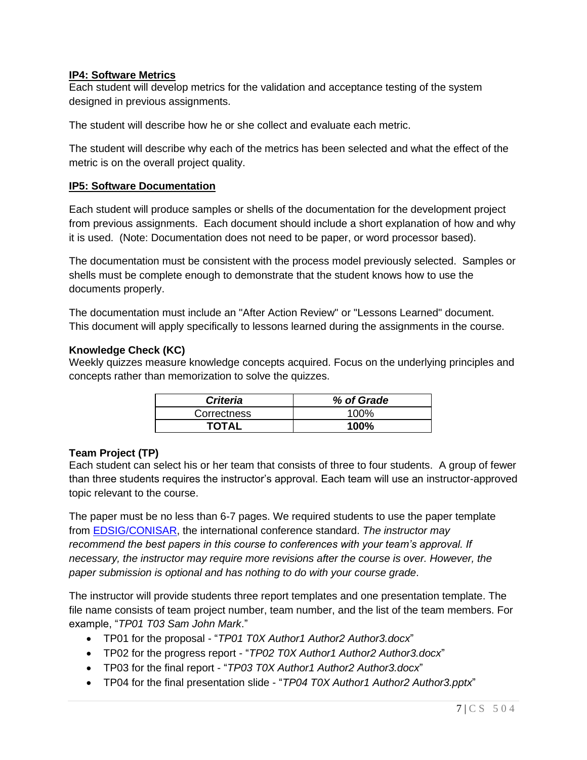### **IP4: Software Metrics**

Each student will develop metrics for the validation and acceptance testing of the system designed in previous assignments.

The student will describe how he or she collect and evaluate each metric.

The student will describe why each of the metrics has been selected and what the effect of the metric is on the overall project quality.

#### **IP5: Software Documentation**

Each student will produce samples or shells of the documentation for the development project from previous assignments. Each document should include a short explanation of how and why it is used. (Note: Documentation does not need to be paper, or word processor based).

The documentation must be consistent with the process model previously selected. Samples or shells must be complete enough to demonstrate that the student knows how to use the documents properly.

The documentation must include an "After Action Review" or "Lessons Learned" document. This document will apply specifically to lessons learned during the assignments in the course.

#### **Knowledge Check (KC)**

Weekly quizzes measure knowledge concepts acquired. Focus on the underlying principles and concepts rather than memorization to solve the quizzes.

| <b>Criteria</b> | % of Grade  |
|-----------------|-------------|
| Correctness     | 100%        |
| <b>TOTAL</b>    | <b>100%</b> |

#### **Team Project (TP)**

Each student can select his or her team that consists of three to four students. A group of fewer than three students requires the instructor's approval. Each team will use an instructor-approved topic relevant to the course.

The paper must be no less than 6-7 pages. We required students to use the paper template from [EDSIG/CONISAR,](http://www.aitp-edsig.org/) the international conference standard. *The instructor may recommend the best papers in this course to conferences with your team's approval. If necessary, the instructor may require more revisions after the course is over. However, the paper submission is optional and has nothing to do with your course grade*.

The instructor will provide students three report templates and one presentation template. The file name consists of team project number, team number, and the list of the team members. For example, "*TP01 T03 Sam John Mark*."

- TP01 for the proposal "*TP01 T0X Author1 Author2 Author3.docx*"
- TP02 for the progress report "*TP02 T0X Author1 Author2 Author3.docx*"
- TP03 for the final report "*TP03 T0X Author1 Author2 Author3.docx*"
- TP04 for the final presentation slide "*TP04 T0X Author1 Author2 Author3.pptx*"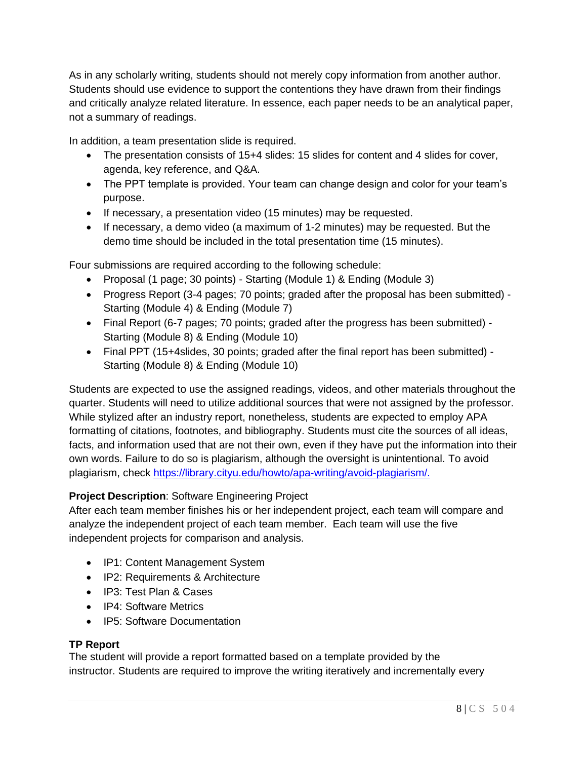As in any scholarly writing, students should not merely copy information from another author. Students should use evidence to support the contentions they have drawn from their findings and critically analyze related literature. In essence, each paper needs to be an analytical paper, not a summary of readings.

In addition, a team presentation slide is required.

- The presentation consists of 15+4 slides: 15 slides for content and 4 slides for cover, agenda, key reference, and Q&A.
- The PPT template is provided. Your team can change design and color for your team's purpose.
- If necessary, a presentation video (15 minutes) may be requested.
- If necessary, a demo video (a maximum of 1-2 minutes) may be requested. But the demo time should be included in the total presentation time (15 minutes).

Four submissions are required according to the following schedule:

- Proposal (1 page; 30 points) Starting (Module 1) & Ending (Module 3)
- Progress Report (3-4 pages; 70 points; graded after the proposal has been submitted) Starting (Module 4) & Ending (Module 7)
- Final Report (6-7 pages; 70 points; graded after the progress has been submitted) Starting (Module 8) & Ending (Module 10)
- Final PPT (15+4slides, 30 points; graded after the final report has been submitted) Starting (Module 8) & Ending (Module 10)

Students are expected to use the assigned readings, videos, and other materials throughout the quarter. Students will need to utilize additional sources that were not assigned by the professor. While stylized after an industry report, nonetheless, students are expected to employ APA formatting of citations, footnotes, and bibliography. Students must cite the sources of all ideas, facts, and information used that are not their own, even if they have put the information into their own words. Failure to do so is plagiarism, although the oversight is unintentional. To avoid plagiarism, check [https://library.cityu.edu/howto/apa-writing/avoid-plagiarism/.](https://library.cityu.edu/howto/apa-writing/avoid-plagiarism/)

## **Project Description**: Software Engineering Project

After each team member finishes his or her independent project, each team will compare and analyze the independent project of each team member. Each team will use the five independent projects for comparison and analysis.

- IP1: Content Management System
- IP2: Requirements & Architecture
- IP3: Test Plan & Cases
- IP4: Software Metrics
- IP5: Software Documentation

## **TP Report**

The student will provide a report formatted based on a template provided by the instructor. Students are required to improve the writing iteratively and incrementally every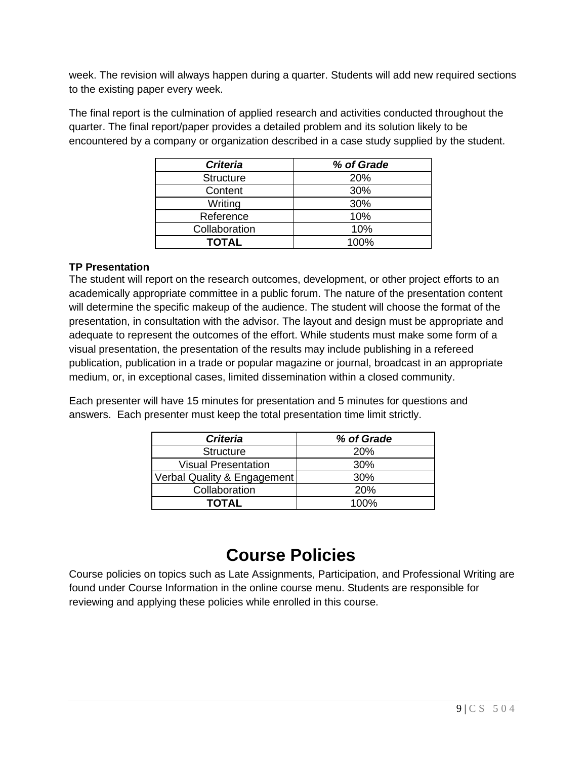week. The revision will always happen during a quarter. Students will add new required sections to the existing paper every week.

The final report is the culmination of applied research and activities conducted throughout the quarter. The final report/paper provides a detailed problem and its solution likely to be encountered by a company or organization described in a case study supplied by the student.

| <b>Criteria</b>  | % of Grade |
|------------------|------------|
| <b>Structure</b> | 20%        |
| Content          | 30%        |
| Writing          | 30%        |
| Reference        | 10%        |
| Collaboration    | 10%        |
| <b>TOTAL</b>     | 100%       |

## **TP Presentation**

The student will report on the research outcomes, development, or other project efforts to an academically appropriate committee in a public forum. The nature of the presentation content will determine the specific makeup of the audience. The student will choose the format of the presentation, in consultation with the advisor. The layout and design must be appropriate and adequate to represent the outcomes of the effort. While students must make some form of a visual presentation, the presentation of the results may include publishing in a refereed publication, publication in a trade or popular magazine or journal, broadcast in an appropriate medium, or, in exceptional cases, limited dissemination within a closed community.

Each presenter will have 15 minutes for presentation and 5 minutes for questions and answers. Each presenter must keep the total presentation time limit strictly.

| <b>Criteria</b>             | % of Grade |
|-----------------------------|------------|
| <b>Structure</b>            | <b>20%</b> |
| <b>Visual Presentation</b>  | 30%        |
| Verbal Quality & Engagement | 30%        |
| Collaboration               | 20%        |
| <b>TOTAL</b>                | $100\%$    |

# **Course Policies**

Course policies on topics such as Late Assignments, Participation, and Professional Writing are found under Course Information in the online course menu. Students are responsible for reviewing and applying these policies while enrolled in this course.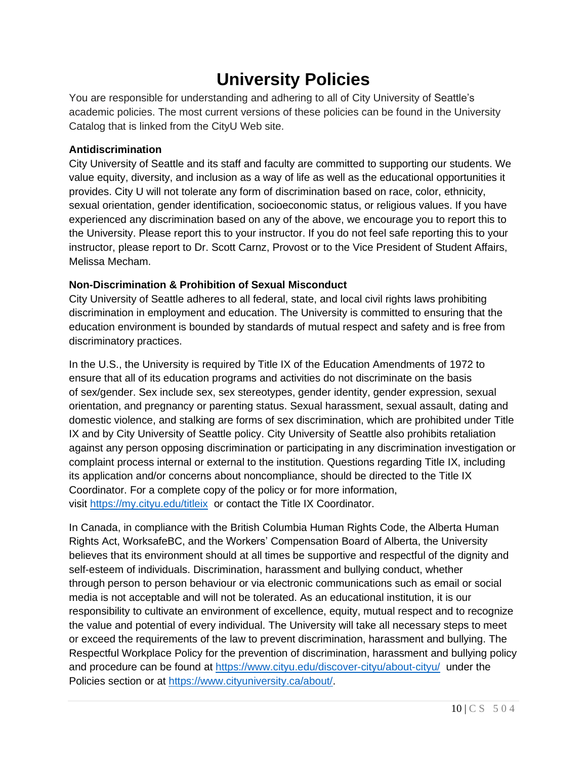# **University Policies**

You are responsible for understanding and adhering to all of City University of Seattle's academic policies. The most current versions of these policies can be found in the University Catalog that is linked from the CityU Web site.

## **Antidiscrimination**

City University of Seattle and its staff and faculty are committed to supporting our students. We value equity, diversity, and inclusion as a way of life as well as the educational opportunities it provides. City U will not tolerate any form of discrimination based on race, color, ethnicity, sexual orientation, gender identification, socioeconomic status, or religious values. If you have experienced any discrimination based on any of the above, we encourage you to report this to the University. Please report this to your instructor. If you do not feel safe reporting this to your instructor, please report to Dr. Scott Carnz, Provost or to the Vice President of Student Affairs, Melissa Mecham.

# **Non-Discrimination & Prohibition of Sexual Misconduct**

City University of Seattle adheres to all federal, state, and local civil rights laws prohibiting discrimination in employment and education. The University is committed to ensuring that the education environment is bounded by standards of mutual respect and safety and is free from discriminatory practices.

In the U.S., the University is required by Title IX of the Education Amendments of 1972 to ensure that all of its education programs and activities do not discriminate on the basis of sex/gender. Sex include sex, sex stereotypes, gender identity, gender expression, sexual orientation, and pregnancy or parenting status. Sexual harassment, sexual assault, dating and domestic violence, and stalking are forms of sex discrimination, which are prohibited under Title IX and by City University of Seattle policy. City University of Seattle also prohibits retaliation against any person opposing discrimination or participating in any discrimination investigation or complaint process internal or external to the institution. Questions regarding Title IX, including its application and/or concerns about noncompliance, should be directed to the Title IX Coordinator. For a complete copy of the policy or for more information, visit [https://my.cityu.edu/titleix](https://nam11.safelinks.protection.outlook.com/?url=https%3A%2F%2Fmy.cityu.edu%2Ftitleix&data=04%7C01%7Cchungsam%40cityu.edu%7Ce83102e3b3cd44013e6f08d90c4e2657%7Cb3fa96d9f5154662add763d854e39e63%7C1%7C0%7C637554352062965197%7CUnknown%7CTWFpbGZsb3d8eyJWIjoiMC4wLjAwMDAiLCJQIjoiV2luMzIiLCJBTiI6Ik1haWwiLCJXVCI6Mn0%3D%7C1000&sdata=BZUraLgYrW9P67gVxk2kDRNYpVceksvqmTIkcba6seg%3D&reserved=0) or contact the Title IX Coordinator.

In Canada, in compliance with the British Columbia Human Rights Code, the Alberta Human Rights Act, WorksafeBC, and the Workers' Compensation Board of Alberta, the University believes that its environment should at all times be supportive and respectful of the dignity and self-esteem of individuals. Discrimination, harassment and bullying conduct, whether through person to person behaviour or via electronic communications such as email or social media is not acceptable and will not be tolerated. As an educational institution, it is our responsibility to cultivate an environment of excellence, equity, mutual respect and to recognize the value and potential of every individual. The University will take all necessary steps to meet or exceed the requirements of the law to prevent discrimination, harassment and bullying. The Respectful Workplace Policy for the prevention of discrimination, harassment and bullying policy and procedure can be found at [https://www.cityu.edu/discover-cityu/about-cityu/](https://nam11.safelinks.protection.outlook.com/?url=https%3A%2F%2Fwww.cityu.edu%2Fdiscover-cityu%2Fabout-cityu%2F&data=04%7C01%7Cchungsam%40cityu.edu%7Ce83102e3b3cd44013e6f08d90c4e2657%7Cb3fa96d9f5154662add763d854e39e63%7C1%7C0%7C637554352062975188%7CUnknown%7CTWFpbGZsb3d8eyJWIjoiMC4wLjAwMDAiLCJQIjoiV2luMzIiLCJBTiI6Ik1haWwiLCJXVCI6Mn0%3D%7C1000&sdata=UdNUwGjXEPP3Xn8s8Gqr75JB4QZEr9tSD2WTHAfUTqE%3D&reserved=0) under the Policies section or at [https://www.cityuniversity.ca/about/.](https://nam11.safelinks.protection.outlook.com/?url=https%3A%2F%2Fwww.cityuniversity.ca%2Fabout%2F&data=04%7C01%7Cchungsam%40cityu.edu%7Ce83102e3b3cd44013e6f08d90c4e2657%7Cb3fa96d9f5154662add763d854e39e63%7C1%7C0%7C637554352062975188%7CUnknown%7CTWFpbGZsb3d8eyJWIjoiMC4wLjAwMDAiLCJQIjoiV2luMzIiLCJBTiI6Ik1haWwiLCJXVCI6Mn0%3D%7C1000&sdata=5rEHqYmzK1MjEx1DKkfU6tsZrscg1nGHsTV43tadV8A%3D&reserved=0)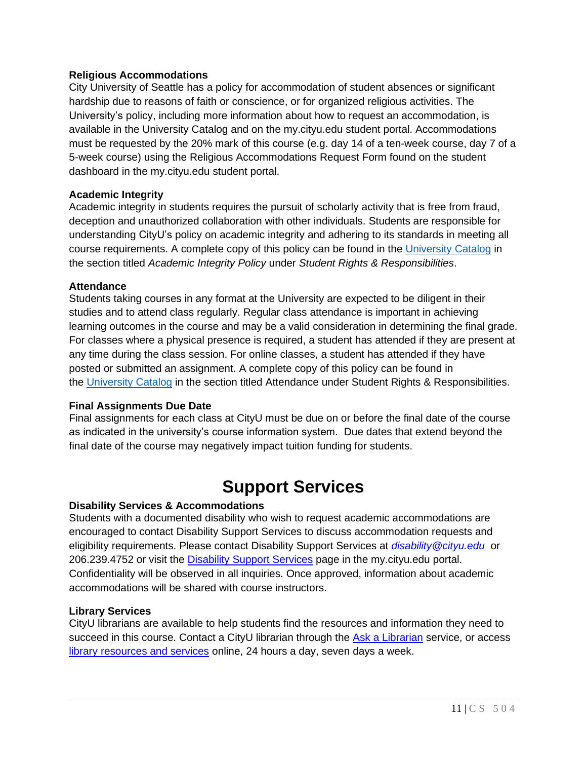### **Religious Accommodations**

City University of Seattle has a policy for accommodation of student absences or significant hardship due to reasons of faith or conscience, or for organized religious activities. The University's policy, including more information about how to request an accommodation, is available in the University Catalog and on the my.cityu.edu student portal. Accommodations must be requested by the 20% mark of this course (e.g. day 14 of a ten-week course, day 7 of a 5-week course) using the Religious Accommodations Request Form found on the student dashboard in the my.cityu.edu student portal.

#### **Academic Integrity**

Academic integrity in students requires the pursuit of scholarly activity that is free from fraud, deception and unauthorized collaboration with other individuals. Students are responsible for understanding CityU's policy on academic integrity and adhering to its standards in meeting all course requirements. A complete copy of this policy can be found in the [University](https://nam11.safelinks.protection.outlook.com/?url=http%3A%2F%2Fwww.cityu.edu%2Fcatalog%2F&data=04%7C01%7Cchungsam%40cityu.edu%7Ce83102e3b3cd44013e6f08d90c4e2657%7Cb3fa96d9f5154662add763d854e39e63%7C1%7C0%7C637554352062985183%7CUnknown%7CTWFpbGZsb3d8eyJWIjoiMC4wLjAwMDAiLCJQIjoiV2luMzIiLCJBTiI6Ik1haWwiLCJXVCI6Mn0%3D%7C1000&sdata=aZ53l3klgtP9eRh077dE4%2B3%2BqD3s2j1rTIcwKKp5U10%3D&reserved=0) Catalog in the section titled *Academic Integrity Policy* under *Student Rights & Responsibilities*.

#### **Attendance**

Students taking courses in any format at the University are expected to be diligent in their studies and to attend class regularly. Regular class attendance is important in achieving learning outcomes in the course and may be a valid consideration in determining the final grade. For classes where a physical presence is required, a student has attended if they are present at any time during the class session. For online classes, a student has attended if they have posted or submitted an assignment. A complete copy of this policy can be found in the [University](https://nam11.safelinks.protection.outlook.com/?url=http%3A%2F%2Fwww.cityu.edu%2Fcatalog%2F&data=04%7C01%7Cchungsam%40cityu.edu%7Ce83102e3b3cd44013e6f08d90c4e2657%7Cb3fa96d9f5154662add763d854e39e63%7C1%7C0%7C637554352062985183%7CUnknown%7CTWFpbGZsb3d8eyJWIjoiMC4wLjAwMDAiLCJQIjoiV2luMzIiLCJBTiI6Ik1haWwiLCJXVCI6Mn0%3D%7C1000&sdata=aZ53l3klgtP9eRh077dE4%2B3%2BqD3s2j1rTIcwKKp5U10%3D&reserved=0) Catalog in the section titled Attendance under Student Rights & Responsibilities.

#### **Final Assignments Due Date**

Final assignments for each class at CityU must be due on or before the final date of the course as indicated in the university's course information system. Due dates that extend beyond the final date of the course may negatively impact tuition funding for students.

# **Support Services**

#### **Disability Services & Accommodations**

Students with a documented disability who wish to request academic accommodations are encouraged to contact Disability Support Services to discuss accommodation requests and eligibility requirements. Please contact Disability Support Services at *[disability@cityu.edu](mailto:disability@cityu.edu)* or 206.239.4752 or visit the [Disability Support Services](https://my.cityu.edu/department/disability-support-services/) page in the my.cityu.edu portal. Confidentiality will be observed in all inquiries. Once approved, information about academic accommodations will be shared with course instructors.

#### **Library Services**

CityU librarians are available to help students find the resources and information they need to succeed in this course. Contact a CityU librarian through the [Ask a Librarian](http://library.cityu.edu/ask-a-librarian/) service, or access library [resources and services](https://library.cityu.edu/) online, 24 hours a day, seven days a week.